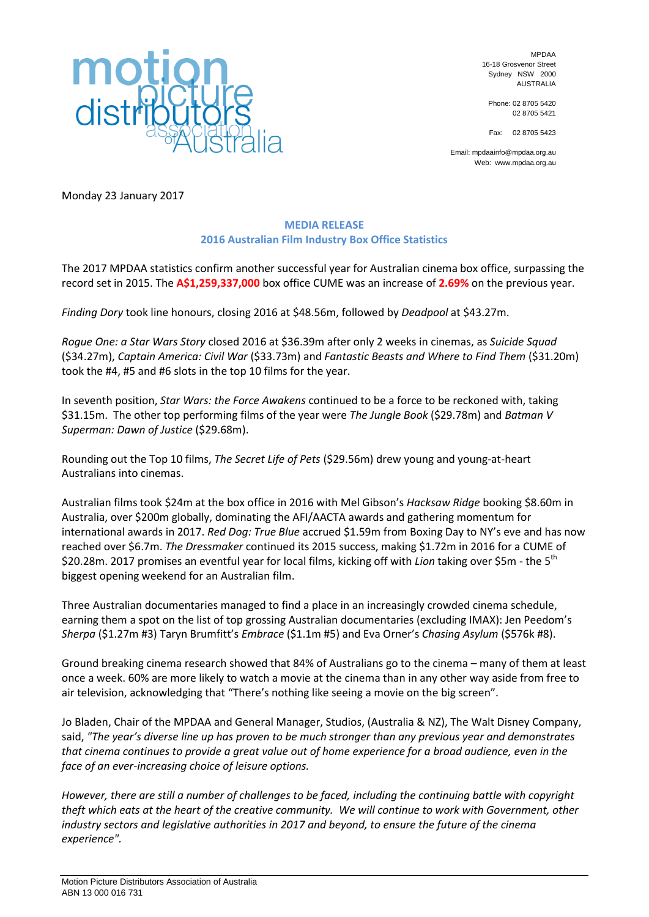

MPDAA 16-18 Grosvenor Street Sydney NSW 2000 AUSTRALIA

Phone: 02 8705 5420 02 8705 5421

Fax: 02 8705 5423

Email: mpdaainfo@mpdaa.org.au Web: www.mpdaa.org.au

Monday 23 January 2017

## **MEDIA RELEASE 2016 Australian Film Industry Box Office Statistics**

The 2017 MPDAA statistics confirm another successful year for Australian cinema box office, surpassing the record set in 2015. The **A\$1,259,337,000** box office CUME was an increase of **2.69%** on the previous year.

*Finding Dory* took line honours, closing 2016 at \$48.56m, followed by *Deadpool* at \$43.27m.

*Rogue One: a Star Wars Story* closed 2016 at \$36.39m after only 2 weeks in cinemas, as *Suicide Squad*  (\$34.27m), *Captain America: Civil War* (\$33.73m) and *Fantastic Beasts and Where to Find Them* (\$31.20m) took the #4, #5 and #6 slots in the top 10 films for the year.

In seventh position, *Star Wars: the Force Awakens* continued to be a force to be reckoned with, taking \$31.15m. The other top performing films of the year were *The Jungle Book* (\$29.78m) and *Batman V Superman: Dawn of Justice* (\$29.68m).

Rounding out the Top 10 films, *The Secret Life of Pets* (\$29.56m) drew young and young-at-heart Australians into cinemas.

Australian films took \$24m at the box office in 2016 with Mel Gibson's *Hacksaw Ridge* booking \$8.60m in Australia, over \$200m globally, dominating the AFI/AACTA awards and gathering momentum for international awards in 2017. *Red Dog: True Blue* accrued \$1.59m from Boxing Day to NY's eve and has now reached over \$6.7m. *The Dressmaker* continued its 2015 success, making \$1.72m in 2016 for a CUME of \$20.28m. 2017 promises an eventful year for local films, kicking off with *Lion* taking over \$5m - the 5th biggest opening weekend for an Australian film.

Three Australian documentaries managed to find a place in an increasingly crowded cinema schedule, earning them a spot on the list of top grossing Australian documentaries (excluding IMAX): Jen Peedom's *Sherpa* (\$1.27m #3) Taryn Brumfitt's *Embrace* (\$1.1m #5) and Eva Orner's *Chasing Asylum* (\$576k #8).

Ground breaking cinema research showed that 84% of Australians go to the cinema – many of them at least once a week. 60% are more likely to watch a movie at the cinema than in any other way aside from free to air television, acknowledging that "There's nothing like seeing a movie on the big screen".

Jo Bladen, Chair of the MPDAA and General Manager, Studios, (Australia & NZ), The Walt Disney Company, said, *"The year's diverse line up has proven to be much stronger than any previous year and demonstrates that cinema continues to provide a great value out of home experience for a broad audience, even in the face of an ever-increasing choice of leisure options.* 

*However, there are still a number of challenges to be faced, including the continuing battle with copyright theft which eats at the heart of the creative community. We will continue to work with Government, other industry sectors and legislative authorities in 2017 and beyond, to ensure the future of the cinema experience".*